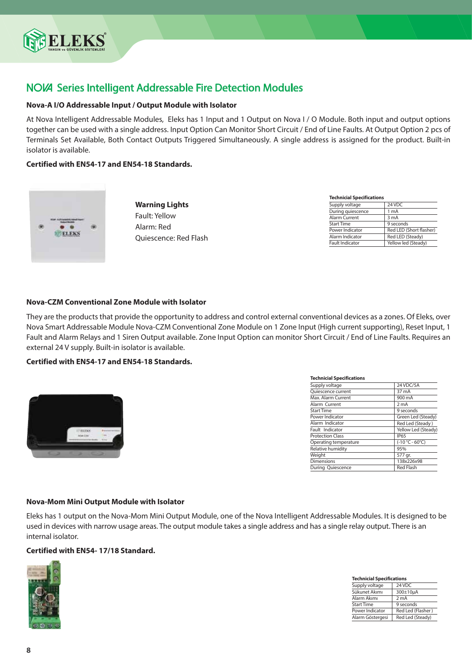

# **NOVA** Series Intelligent Addressable Fire Detection Modules

## **Nova-A I/O Addressable Input / Output Module with Isolator**

At Nova Intelligent Addressable Modules, Eleks has 1 Input and 1 Output on Nova I / O Module. Both input and output options together can be used with a single address. Input Option Can Monitor Short Circuit / End of Line Faults. At Output Option 2 pcs of Terminals Set Available, Both Contact Outputs Triggered Simultaneously. A single address is assigned for the product. Built-in isolator is available.

### **Certified with EN54-17 and EN54-18 Standards.**



**Warning Lights** Fault: Yellow Alarm: Red Quiescence: Red Flash

| <b>Technicial Specifications</b> |                         |  |
|----------------------------------|-------------------------|--|
| Supply voltage                   | 24 VDC                  |  |
| During quiescence                | 1 mA                    |  |
| Alarm Current                    | 3 mA                    |  |
| <b>Start Time</b>                | 9 seconds               |  |
| Power Indicator                  | Red LED (Short flasher) |  |
| Alarm Indicator                  | Red LED (Steady)        |  |
| <b>Fault Indicator</b>           | Yellow led (Steady)     |  |

### **Nova-CZM Conventional Zone Module with Isolator**

They are the products that provide the opportunity to address and control external conventional devices as a zones. Of Eleks, over Nova Smart Addressable Module Nova-CZM Conventional Zone Module on 1 Zone Input (High current supporting), Reset Input, 1 Fault and Alarm Relays and 1 Siren Output available. Zone Input Option can monitor Short Circuit / End of Line Faults. Requires an external 24 V supply. Built-in isolator is available.

### **Certified with EN54-17 and EN54-18 Standards.**



| <b>Technicial Specifications</b> |                     |
|----------------------------------|---------------------|
| Supply voltage                   | 24 VDC/5A           |
| Quiescence current               | 37 mA               |
| Max. Alarm Current               | 900 mA              |
| Alarm Current                    | 2 <sub>m</sub> A    |
| <b>Start Time</b>                | 9 seconds           |
| Power Indicator                  | Green Led (Steady)  |
| Alarm Indicator                  | Red Led (Steady)    |
| Fault Indicator                  | Yellow Led (Steady) |
| <b>Protection Class</b>          | <b>IP65</b>         |
| Operating temperature            | $(-10 °C - 60 °C)$  |
| Relative humidity                | 95%                 |
| Weight                           | 577 gr.             |
| <b>Dimensions</b>                | 138x226x98          |
| During Quiescence                | <b>Red Flash</b>    |

### **Nova-Mom Mini Output Module with Isolator**

Eleks has 1 output on the Nova-Mom Mini Output Module, one of the Nova Intelligent Addressable Modules. It is designed to be used in devices with narrow usage areas. The output module takes a single address and has a single relay output. There is an internal isolator.

## **Certified with EN54- 17/18 Standard.**



| <b>Technicial Specifications</b> |                   |  |
|----------------------------------|-------------------|--|
| Supply voltage                   | 24 VDC            |  |
| Sükunet Akımı                    | 300±10µA          |  |
| Alarm Akımı                      | 2 <sub>m</sub> A  |  |
| <b>Start Time</b>                | 9 seconds         |  |
| Power Indicator                  | Red Led (Flasher) |  |
| Alarm Göstergesi                 | Red Led (Steady)  |  |